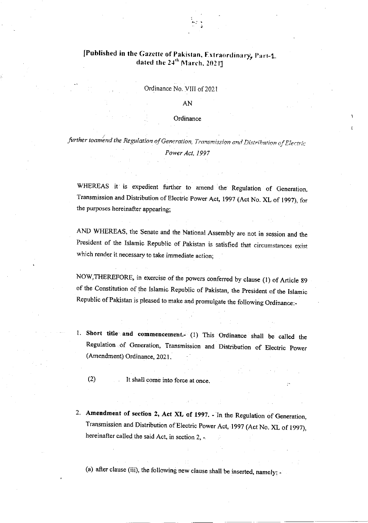### [Published in the Gazette of Pakistan, Extraordinary, Part-1. dated the 24<sup>th</sup> March, 2021]

Ordinance No. VITI of 2021

AN

#### **Ordinance**

further toamend the Regulation of Generation, Transmission and Distribution of Electric Power Act. 1997

WHEREAS it is expedient further to amend the Regulation of Generation. Transmission and Distribution of Electric power Act, 1997 (Act No. XL of 1997), for the purposes hereinafter appearing;

AND WHEREAS, the Senate and the National Assembly are not in session and the President of the Islamic Republic of Pakistan is satisfied that circumstances exist which render it necessary to take immediate action:

NOW,THEREFORE, in exercise of the powers confered by clause (l) of Article g9 of the Constitution of the Islamic Republic of Pakistan, the President of the Islamic Republic of Pakistan is pleased to make and promulgate the following Ordinance:-

1. Short title and commencement. (1) This Ordinance shall be called the Regulation of Generatjon, Transmission and Distribution of Electric power (Amendment) Ordinance, 2021.

(2) It shall come into force at once

2. Amendment of section 2, Act XL of 1997. - In the Regulation of Generation, Transmission and Distribution of Electric power Aot, 1997 (Acr No. XL of 1997), hereinafter called the said Act, in section 2, -

(a) after clause (iii), the following new clause shall be inserted, namely: -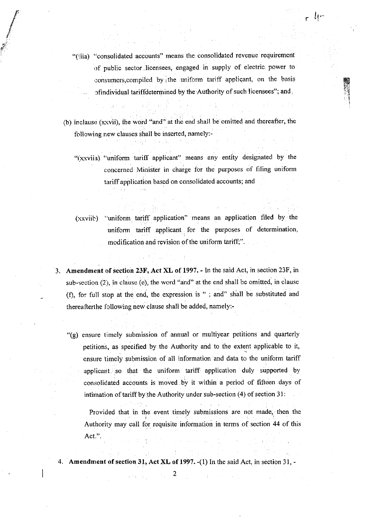"(iiia) "consolidated accounts" means the consolidated reverlue requirement of public sector licensees, engaged in supply of electric power to consumers, compiled by the uniform tariff applicant, on the basis ofindividual tariffdetermined by the Authority of such licensees"; and

\*

r

h

EE6 tr

!

- (b) inclause (xxvii), the word "and" at the end shall be omitted and thereafter, the following new clauses shall be inserted, namely:-
	- "(xxviia) "uniform tariff applicant" means any entity designated by the concerned Minister in charge for the purposes of filing uniform tariff application based on consolidated accounts; and
	- (xxviib) "uniform tariff application" means an application filed by the uniform tariff applicant for the purposes of determination modification and revision of the uniform tariff;".
- 3. Amendmont of section 23F, Act XL of 1997. In the said Act, in section 23F, in sub-section  $(2)$ , in clause  $(e)$ , the word "and" at the end shall be omitted, in clause (fl, for full stop at the cnd, the expression is ": and" shall be substituted and thereafter the following new clause shall be added, namely:-
	- "(g) ensure timely submission of annual or multiyear petitions and quarterly petitions, as specified by the Authority and to the extent applicable to it, ensure timely submission of all information and data to the uniform tariff applicant so that the uniform tariff application duly supported by consolidated accounts is moved by it within a period of fifteen days of intimation of tariff by the Authority under sub-section  $(4)$  of section  $31$ :

Provided that in the event timely submissions are not made, then the Authority may call for requisite information in terms of section 44 of this Act.".

4. Amendment of section 31, Act XL of 1997. (1) In the said Act, in section 31, -

2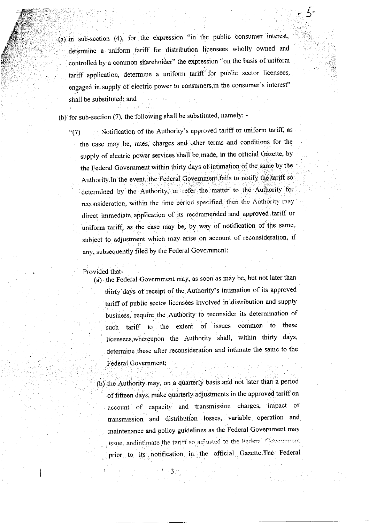$(a)$  in sub-section  $(4)$ , for the expression "in the public consumer interest, determine a uniform tariff for distribution licensees wholly owned and controlled by a common shareholder" the expression "on the basis of uniform tariff application, determine a uniform tariff for public sector licensees. engaged in supply of electric power to consumers,in the consumer's interest" shall be substituted; and

5-

'ir

(b) for sub-section (7), the following shall be substituted, namely: -

"(7) Notification of the Authority's approved tariff or uniform tariff, as the case may be, rates, charges and other terms and conditions for the supply of electric power services shall be made, in the official Gazette, by the Federal Government within thirty days of intimation of the same by the Authority.In the event, the Federal Government fails to notify the tariff so determined by the Authority, or refer the matter to the Authority for reconsideration, within the time period specified, then the Authority may direct immediate application of its recommended and approved tariff or uniform tariff, as the case may be, by way of notification of the same, subject to adjustment which may arise on account of reconsideration, if any, subsequently filed by the Federal Government:

Provided that-

::.

(d) the Federal Govemment may, as soon as may be, but not later than thirty days of receipt of the Authority's intimation of its approved tariff of public sector licensees involved in distribution and supply business, require the Authority to reconsider its determination of such tariff to the extent of issues common to these licensees,whereupon the Authority shall, within thirty days, determine these after reconsideration and intimate the same to the Federal Covernment:

(b) the Authority may, on a quarterly basis and not later than a period of fifteen days, make quarterly adjustments in the approved tariff on account of capacity and transmission charges, impact of transmission and distribution losses, variable operation and maintenance and policy guidelines as the Federal Govemment may issue, andintimate the tariff so adjusted to the Federal Government prior to its notification in the official Gazette. The Federal

J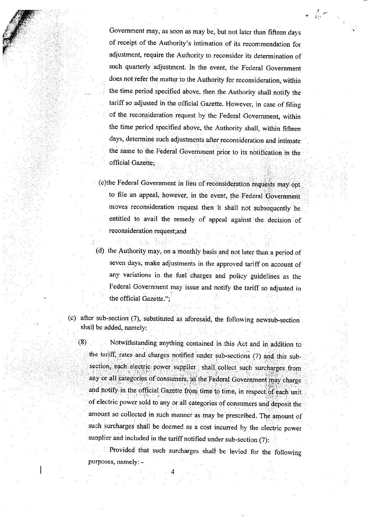Government may, as soon as may be, but not later than fifteen days of receipt of the Authority's intimation of its recommendation for adjustment, require the Authority to reconsider its determination of such quarterly adjustment. In the event, the Federal Government does not refer the matter to the Authority for reconsideration, within the time period specified above, then the Authority shall notify the tariff so adjusted in the official Gazette. However, in case of filing of the reconsideration request by the Federal Government, within the time period specified above, the Authority shall, within fifteen days, determine such adjustments after reconsideration and intimate the same to the Federa'l Govemment prior to its notification in the official Gazette;

 $\sqrt{2}$ 

(c)the Federal Government in lieu of reconsideration requbsis may opt to file an appeal, however, in the event, the Federal Government moves reconsideration request then it shall not subsequently be entitled to avail the remedy of appeal against the decision of reconsideration request;and

- (d) the Authority may, on a monthly pasis,and not later than a period of seven days, make adjustments in the approved tariff on account of any variations in the fuel charges and policy guidelines as the Federal Government may issue and notify the tariff so adjusted in the official Gazette.";
- (c) after sub-section  $(7)$ , substituted as aforesaid, the following newsub-section shall be added, namely:

(8) Notwithstanding anything contained in this Act and in addition to the tariff, rates and charges notified under sub-sections (7) and this subsection, each electric power supplier shall collect such surcharges from any or all categories of consumers, as the Federal Government may charge and notify in the official Gazette from time to time, in respect of each unit of electric power sold to any or all categories of consumers and deposit the amount so collected in such manner as may be prescribed. The amount of such surcharges shall be deemed as a cost incurred by the electric power supplier and included in the tariff notified under sub-section  $(7)$ :

Provided that such surcharges shall be levied for the following purposes, namely: -

4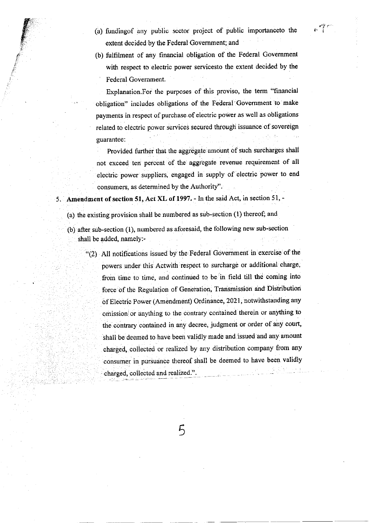(a) fundingof any publio seotor project of publio importanceto the extent decided by the Federal Government; and

 $\mathbb{P}^{\mathcal{F}}$ 

g

#

a"

(b) fulfilment of any financial obligation of the Federal Government with respect to electric power servicesto the extent decided by the Federal Covemment

Explanation.For the purposes of this proviso, the term "financial obligation" includes obligations of the Federal Government to make payments in respect of purchase of electric power as well as obligations related to eleotric power services secured through issuance of sovereign guarantee:

Provided further that the aggregate amount of such surcharges shall not exceed ten percent of the aggregate revenue requirement of all electric power suppliers, engaged in supply of electric power to end consumers, as determined by the Authority".

5. Amendment of section 51, Act XL of 1997. - In the said Act, in section 51, -

(a) the existing provision shall be numbered as sub-section (1) thereof; and

(b) after sub-section (1), numbered as aforesaid, the following new sub-section shall be added, namely:-

"(2) All notifications issued by the Federal Government in exercise of the powers under this Actwith respect to surcharge or additional charge, from time to time, and continued to be in field till the coming into force of the Regulation of Generation, Transmission and Distribution of Electric Power (Amendment) Ordinance, 2021, notwithstanding any omission or anything to the contrary contained therein or anything to the contrary contained in any decree, judgment ot order of any court, shall be deemed to have been validly made and issued and any amount charged, collected or realized by any distribution company from any consumer in pursuance thereof shall be deemed to have been validly charged, collected and realized.".

 $\mathcal{F}_{\mathcal{E}}$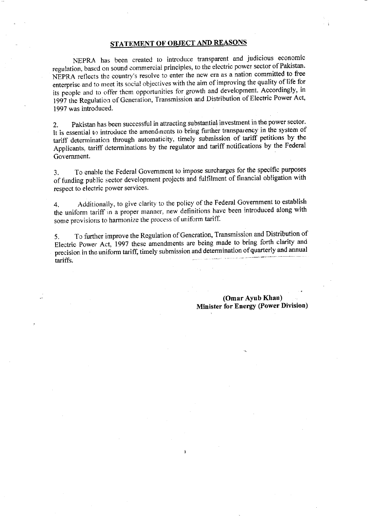### STATEMENT OF OBJECT AND REASONS

NEPRA has been created to introduce transparent and judicious economic regulation, based on sound commercial principles, to the electric power sector of Pakistan. NEPRA reflects the country's resolve to enter the new era as a nation committed to free enterprise and to meet its social objectives with the aim of improving the quality of life for its people and to offer them opportunities for growth and development. Accordingly, in 1997 the Regulation of Generation, Transmission and Distribution of Electric Power Act, 1997 was introduced.

Pakistan has been successful in attracting substantial investment in the power sector.  $2.$ It is essential to introduce the amendments to bring further transparency in the system of tariff determination through automaticity, timely submission of tariff petitions by the Applicants, tariff determinations by the regulator and tariff notifications by the Federal Government.

To enable the Federal Government to impose surcharges for the specific purposes  $3.$ of funding public sector development projects and fulfilment of financial obligation with respect to electric power services.

Additionally, to give clarity to the policy of the Federal Government to establish 4. the uniform tariff in a proper manner, new definitions have been introduced along with some provisions to harmonize the process of uniform tariff.

To further improve the Regulation of Generation, Transmission and Distribution of  $5<sub>1</sub>$ Electric Power Act, 1997 these amendments are being made to bring forth clarity and precision in the uniform tariff, timely submission and determination of quarterly and annual and the company of the second company of the i<br>Lista este tariffs.

> (Omar Ayub Khan) **Minister for Energy (Power Division)**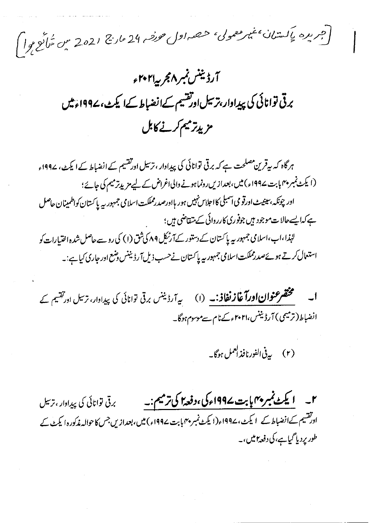[جریره یاکستان عیمر معمول<sup>، ح</sup>صه اول *حورفه* 24 مارچ 2021 میں مُلاَع ہوا)

آرڈیننس نمبر ۸مجر پہ ۲۰۲۱ء برقی توانائی کی پیدادار،ترسیلاورتقسیم کےانضباط کےا کیٹ، ۱۹۹۷ءمیں مزيدتر ميم كرنے كابل

ہرگاہ کہ ہیرقرین مصلحت ہے کہ برقی توانائی کی پیداوار ، ترسیل اورتقسیم کے انضباط کے ایکٹ، ۱۹۹۷ء (ایکٹ نمبر پہما بت 199۷ء) میں، بعدازیں رونماہونے والی اغراض کے لیے مزید ترمیم کی جائے؛ اور چونکہ،سینیٹ اورقو می آسمبلی کااجلاس نہیں ہور ہااورصد رمملکت اسلامی جمہور ہیہ پاکستان کواظمینان حاصل ہے کہا پسےحالات موجود ہیں جوفوری کارروائی کے متقاضی ہیں؛ لہٰذا،اب،اسلامی جمہور بیہ پاکستان کے دستور کےآ رٹرکل ۸۹ کی ثق (۱) کی رو سے حاصل شدہ اختیارات کو استعال کرتے ہوئےصدرمملکت اسلامی جمہوریہ پاکستان نےحسب ذیل آرڈیننس وضع اور جاری کیاہے:۔

مختصر عنوان اورآغاز نفاذ:۔ (۱) سے آرڈینس برقی توانائی کی پیدادار، ترسل اورتقیم کے  $\overline{\phantom{a}}$ انضباط(ترمیمی) آرڈیننس،۲۰۲۱ء کےنام سےموسوم ہوگا۔

(٢) بيرفي الفورنافذ العمل ہوگا۔

۲\_\_ **ایکٹ نمبر پہمایا بت کے199اء کی ،دفعہ ای ترمیم:۔** سیس سی توانائی کی پیدادار ، ترسل اورتقسیم کےانضباط کے لیکٹ، ۱۹۹۷ء(ایکٹ نمبر پہمابابت ۱۹۹۷ء) میں، بعدازیں جس کا حوالہ مذکورہ ایکٹ کے طور پردیا گیاہے، کی دفعہ *۲ میں ، ۔*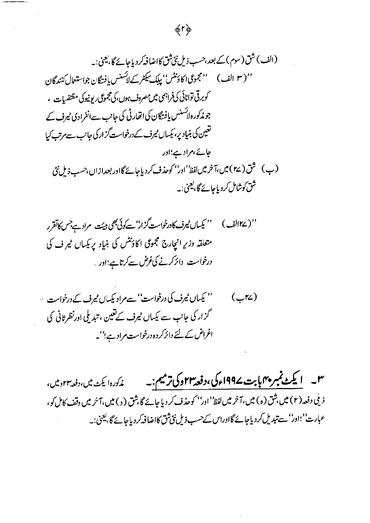# (الف) شق (سوم) کے بعد،حسب ذیل نئی ثق کااضا فہ کر دیاجائے گا، یعنی:۔ '' ( ٣ الف ) صحیحوی اکاؤنٹس'' بیاک سیکٹر کے لائسنس یافتگان جواستعال کنندگان ( کوبرقی توانائی کی فراہمی میں مصروف ہوں،کی مجموعی ریونیوکی مقتضیات ، جوندکورہ لائسنس یافتگان کی اتھارٹی کی جانب سےانفرادی ٹیرف کے تغین کی بنیاد پر، بکساں میرف کے درخواست گزار کی جانب سے مرتب کیا جائے،مراد ہے؛اور (پ) شق ( ۲۷ )میں،آخر میں لفظ<sup>ین</sup> اور'' کوحذف کردیاجائے گااور بعدازاں،حسب ذیل نئ شق کوشامل کردیاجائے گا، <u>بع</u>نی:۔

**命下台** 

''( ۱۲۷لف ) میں ''کیساں نیرف کادرخواست گزار''سے کوئی بھی ہیئت، مرادے جس کاتقر ر متعلقہ وزیرِ انبچارج مجموعی اکاؤنٹس کی بنیاد پر بکساں میر ف کی درخواست دائر کرنے کی غرض سے کرتاہے؛اور

'' پکساں ٹیرف کی درخواست'' سےم ادیکساں ٹیمرف کے درخواست ۔  $(\overline{\phantom{a}}^{\prime\prime})$ گزار کی جانب سے کیساں میرف کے تعین ، تندیلی اورنظر ثانی کی اغراض کے لئے دائرکردہ درخواست مراد ہے؛''۔

**۳ په ۱ پکڻ نمبر پهم بابت ۱۹۹۷ء کی ،دفعه ۲۲وکی ترمیم :په سی مذکوره! یکٹ میں،دفعه ۲۲ومیں،** ذ ملی دفعہ (۲) میں بثق (ہ) میں، آخر میں لفظ' اور'' کوحذف کر دیا جائے گا بثق (و) میں، آخر میں وقف کامل کو، عہارت''اور''سے تبدیل کر دیاجائے گااوراس کے حسب ذیل نئی ثق کااضافہ کر دیاجائے گا، یعنی:۔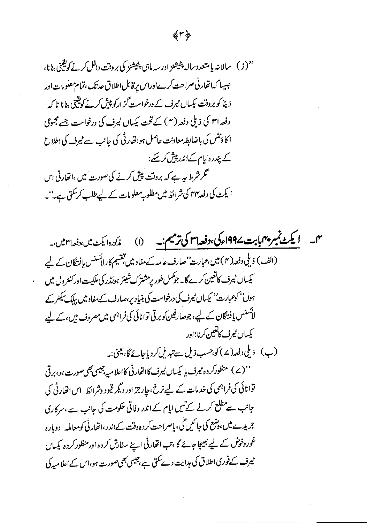愛し夢

'' (ز ) \_ سالا نه بإ متعدد ساله پنیشنز اورسه ماہی پنیشنز کی بروقت داخل کرنے کویقیی بنانا، حبيبا كدانفار في صراحت كرےاوراس يرقابل اطلاق حدتك ،تمام معلومات اور ڈیٹا کو بروقت یکساں ٹیرف کے درخواست گز ارکو پیش کرنے کویقینی بنانا تا کہ دفعہ اس کی ذیلی دفعہ ( ۴) کے تحت پکساں میرف کی درخواست جسے مجموعی ا کا دنش کی باضابطہ معاونت حاصل ہواتھارٹی کی جانب سے ٹیرف کی اطلاع کے پندرہ امام کےاندر پیش کر سکے: گر شرط بہ ہے کہ بروقت پیش کرنے کی صورت میں ،اتھارٹی اس ا یکٹ کی دفعہ یہ کی شرائط میں مطلوبہ معلومات کے لیے طلب کر کتی ہے۔''۔

مہم۔ **ایکٹ نمبر پہمابابت 1994ءکی،دفعہاسم کی ترمیم:۔** (۱) م*نگورہ ایکٹ میں،دفعہاسمیں،۔* (الف) ذیلی دفعہ( ۴) میں،عبارت' صارف عامہ کے مفاد میں تقسیم کارلائسنس یافتگان کے لیے یکساں میرف کانغین کرے گا۔ جو کمل طور پر مشترک شیئر ہولڈر کی ملکیت اور کنٹرول میں ہوں'' کوعبارت'' کیساں ٹیرف کی درخواست کی بنیاد پر،صارف کے مفاد میں پبلک سیکشر کے لائسنس پافتگان کے لیے، جوصارفین کو برقی توانائی کی فراہمی میں مصروف ہیں، کے لیے كيساں ميرف كاتعين كرنا؛اور (ب) زیلی دفعہ(۷) کو،حسب ذیل سے تبدیل کردیاجائے گا، یعنی:۔ ''(ے) منظورکردہ ٹیرف یا یکساں ٹیرف کااتحارٹی کااعلامیہ جیسی بھی صورت ہو،برقی توانائی کی فراہمی کی خدمات کے لیے نرخ، جارجز اور دیگر قیود وشرائط اس اتھارٹی کی جانب سے مطلع کرنے کے تیں ایام کے اندر وفاقی حکومت کی جانب سے ،سرکاری جریدے میں،وشع کی جائمیں گی، پاصراحت کردہ وقت کےاندر،اتھارٹی کومعاملیہ پرویارہ غور دخوش کے لیے بھیجا جائے گا ،تب اتھارٹی اپنے سفارش کردہ اور منظور کردہ کیساں میرف کےفوری اطلاق کی مدایت دے سکتی ہے ،جیسی بھی صورت ہو،اس کے اعلامیہ کی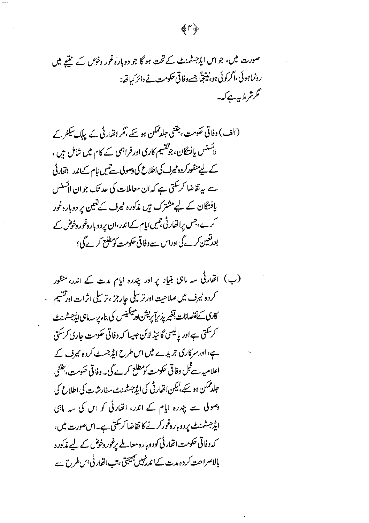(ب) اتھارٹی سہ ماہی بنیاد پر اور پندرہ ایام مدت کے اندر، منظور کردہ <sup>م</sup>یرف میں صلاحیت اور ترسیلی حارجز ،ترسیلی اثرات اورتقسیم میں كارى كىفصانات تغير پذىر يېرىش ادىمىنىس كى بناءىر سەمابى ايۇجىسىمەنى *گرسک*ق ہےاور پالیسی گائیڈ لائن جیپا کہ وفاقی حکومت جاری کرسکتی ہے،اور سرکاری جریدے میں اس طرح ایڈ جسٹ کردہ نیرف کے اعلامیہ سےقبل وفاقی حکومت کومطلع کرے گی۔ وفاقی حکومت، چتنی جلدممکن ہوسکے،لیکن اتھارٹی کی ایڈجسٹمنٹ سفارشرت کی اطلاع کی وصولی سے پندرہ ایام کے اندر، انھارٹی کو اس کی سہ ماہی ایڈ جسٹمنٹ پردوبارہ فورکرنے کا تقاضا کر کتی ہے۔اس صورت میں، کہ وفاقی حکومت اتھارٹی کودوبارہ معاملے پرغور وخوض کے لیے مذکورہ بالاصراحت کردہ مدت کےاندرنہیں بھیجتی ہتب اتھارٹی اس طرح سے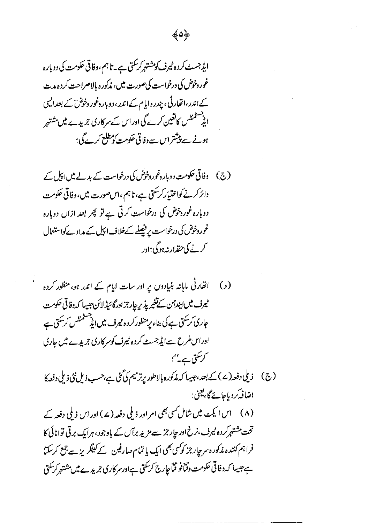(ج) وفاقی حکومت دوبارہ غوروخوض کی درخواست کے بدلے میں اپیل کے دائر کرنے کواختیار کر کتی ہے، تاہم ،اس صورت میں، دفاقی حکومت دوبارہ غوردخوض کی درخواست کرتی ہے تو پھر بعد ازاں دوبارہ غور دخوض کی درخواست پر فیصلے کےخلاف اپیل کے مداوے کواستعال کرنے کی حقدار نہ ہوگی؛اور

انھارٹی ماہانہ بنیادوں پر اور سات ایام کے اندر ہو، منظور کردہ  $\epsilon$ ميرف ميں ابندس كے تغير پذير چارجز اور گائيڈ لائن جيسا كہ وفاقى حكومت جاری کرسکتی ہے کی بناء پر منظور کر دہ میرف میں ایڈ مشمنٹس کرسکتی ہے اوراس طرح سےایڈ جسٹ کردہ ٹیرف کوسرکاری جریدے میں جاری کر سکتی ہے۔''؛ (ج) ذیلی دفعہ(ے)کے بعد،جیپا کہ مذکورہ بالاطور پرترمیم کی گئی ہے،حسب ذیل نئی ذیلی دفعہ کا اضافەكرد باجائےگا،يعني:

(۸) اس ایکٹ میں شامل سی بھی امراور ذیلی دفعہ (۷) اور اس ذیلی دفعہ کے تحت مشتہر کردہ میرف،نرخ اور چارجز سے مزید برآں کے باوجود، ہرایک برقی توانائی کا فراہم کنندہ مذکورہ سرحار جز کوکسی بھی ایک یا تمام صارفین کے کیٹگریز سے جمع کرسکتا ہےجیسا کہ وفاقی حکومت وقناً فو قناً جارج کرسکتی ہےاورسر کاری جریدے میں مشتہر کرسکتی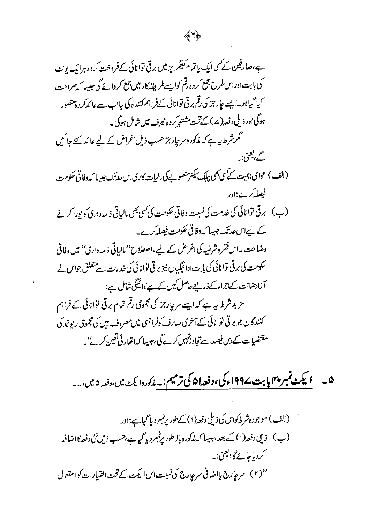۰۵ <mark>\_ یکٹ نمبر ۴۰م بابت ۱۹۹۷ء کی، دفعہ ۵۱ کی ترمیم: پ</mark> زک<sub>ورہ</sub> ایکٹ میں، دفعہ ۵۱ میں، پ

(الف) موجودہشر طکواس کی ذیلی دفعہ(۱) کےطور پرنمبر دیا گیاہے؛اور (ب) ذیلی دفعہ(۱) کے بعد ،جیسا کہ مذکورہ بالاطور پرنمبر دیا گیا ہے،حسب ذیل نئی دفعہ کااضافہہ گردیاجائےگا؛ یعنی:۔<br>۔ ''(۲) سرچارج یااضافی سرچارج کی نسبت اس ایکٹ کے تحت اختیارات کواستعال

今く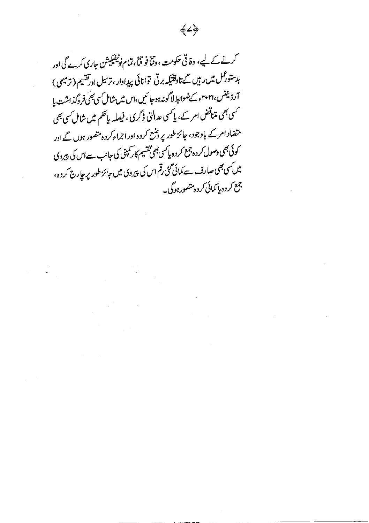## ◈৴⋟

 $\mathcal{L}^{\mathcal{L}}(\mathcal{L}^{\mathcal{L}}(\mathcal{L}^{\mathcal{L}}(\mathcal{L}^{\mathcal{L}}(\mathcal{L}^{\mathcal{L}}(\mathcal{L}^{\mathcal{L}}(\mathcal{L}^{\mathcal{L}}(\mathcal{L}^{\mathcal{L}}(\mathcal{L}^{\mathcal{L}}(\mathcal{L}^{\mathcal{L}}(\mathcal{L}^{\mathcal{L}}(\mathcal{L}^{\mathcal{L}}(\mathcal{L}^{\mathcal{L}}(\mathcal{L}^{\mathcal{L}}(\mathcal{L}^{\mathcal{L}}(\mathcal{L}^{\mathcal{L}}(\mathcal{L}^{\mathcal{L$ 

 $\label{eq:2.1} \mathcal{L}(\mathcal{L}^{\mathcal{L}}_{\mathcal{L}}(\mathcal{L}^{\mathcal{L}}_{\mathcal{L}})) \leq \mathcal{L}(\mathcal{L}^{\mathcal{L}}_{\mathcal{L}}(\mathcal{L}^{\mathcal{L}}_{\mathcal{L}})) \leq \mathcal{L}(\mathcal{L}^{\mathcal{L}}_{\mathcal{L}}(\mathcal{L}^{\mathcal{L}}_{\mathcal{L}}))$ 

کرنے کے لیے، وفاقی حکومت، وقتاً فو قتاً ، تمام نوٹیفیکیشن جاری کرے گی اور بدستورثل میں رہیں گے تاوقتیکہ برقی توانائی پیداوار ، ترسیل اورتفسیم ( ترمیمی ) آرڈیننس،۲۰۲۱ء کےضوابط لاگونہ ہوجا ئیں،اس میں شامل کسی بھی فروگذاشت یا کسی بھی متناقض امر کے، پاکسی عدالتی ڈگری ، فیصلہ پاٹھم میں شامل کسی بھی متضاد امرکے باوجود، جائز طور پروننع کردہ اوراجراءکردہ متصور ہوں گے اور کوئی بھی وصول کر دہ چمع کر دہ پاکسی بھی تقسیم کار کمپنی کی جانب سےاس کی پیروی میں کسی بھی صارف سے کمائی گئی رقم اس کی پیروی میں جائز طور پر حارج کر دہ، جمع کردہ پا کمائی کردہ متصور ہوگی۔

 $\label{eq:2.1} \begin{split} \mathcal{L}_{\text{max}}(\mathbf{r}) & = \frac{1}{2} \sum_{i=1}^{N} \mathcal{L}_{\text{max}}(\mathbf{r}) \mathcal{L}_{\text{max}}(\mathbf{r}) \mathcal{L}_{\text{max}}(\mathbf{r}) \mathcal{L}_{\text{max}}(\mathbf{r}) \mathcal{L}_{\text{max}}(\mathbf{r}) \mathcal{L}_{\text{max}}(\mathbf{r}) \mathcal{L}_{\text{max}}(\mathbf{r}) \mathcal{L}_{\text{max}}(\mathbf{r}) \mathcal{L}_{\text{max}}(\mathbf{r}) \mathcal{L}_{\text{max}}(\mathbf{r})$ 

 $\mathcal{O}(2\pi\log n)$  . The  $\mathcal{O}(n)$ 

 $\label{eq:2.1} \mu_{\rm{max}} = \frac{1}{\sqrt{2}} \sum_{i=1}^{N} \frac{1}{\sqrt{2}} \, .$